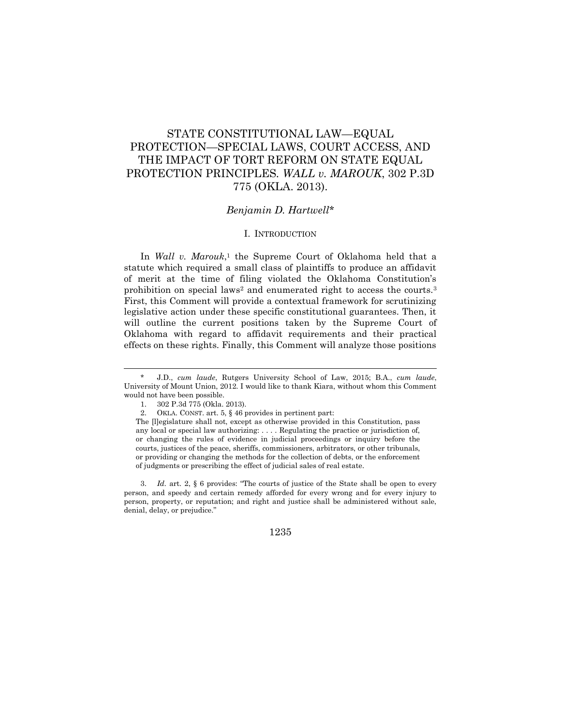# STATE CONSTITUTIONAL LAW—EQUAL PROTECTION—SPECIAL LAWS, COURT ACCESS, AND THE IMPACT OF TORT REFORM ON STATE EQUAL PROTECTION PRINCIPLES*. WALL v. MAROUK*, 302 P.3D 775 (OKLA. 2013).

## *Benjamin D. Hartwell*\*

#### I. INTRODUCTION

In *Wall v. Marouk*, <sup>1</sup> the Supreme Court of Oklahoma held that a statute which required a small class of plaintiffs to produce an affidavit of merit at the time of filing violated the Oklahoma Constitution's prohibition on special laws<sup>2</sup> and enumerated right to access the courts.<sup>3</sup> First, this Comment will provide a contextual framework for scrutinizing legislative action under these specific constitutional guarantees. Then, it will outline the current positions taken by the Supreme Court of Oklahoma with regard to affidavit requirements and their practical effects on these rights. Finally, this Comment will analyze those positions

 $\overline{a}$ 

<sup>\*</sup> J.D., *cum laude*, Rutgers University School of Law, 2015; B.A., *cum laude*, University of Mount Union, 2012. I would like to thank Kiara, without whom this Comment would not have been possible.

<sup>1.</sup> 302 P.3d 775 (Okla. 2013).

<sup>2.</sup> OKLA. CONST. art. 5, § 46 provides in pertinent part:

The [l]egislature shall not, except as otherwise provided in this Constitution, pass any local or special law authorizing: . . . . Regulating the practice or jurisdiction of, or changing the rules of evidence in judicial proceedings or inquiry before the courts, justices of the peace, sheriffs, commissioners, arbitrators, or other tribunals, or providing or changing the methods for the collection of debts, or the enforcement of judgments or prescribing the effect of judicial sales of real estate.

<sup>3.</sup> *Id.* art. 2, § 6 provides: "The courts of justice of the State shall be open to every person, and speedy and certain remedy afforded for every wrong and for every injury to person, property, or reputation; and right and justice shall be administered without sale, denial, delay, or prejudice."

<sup>1235</sup>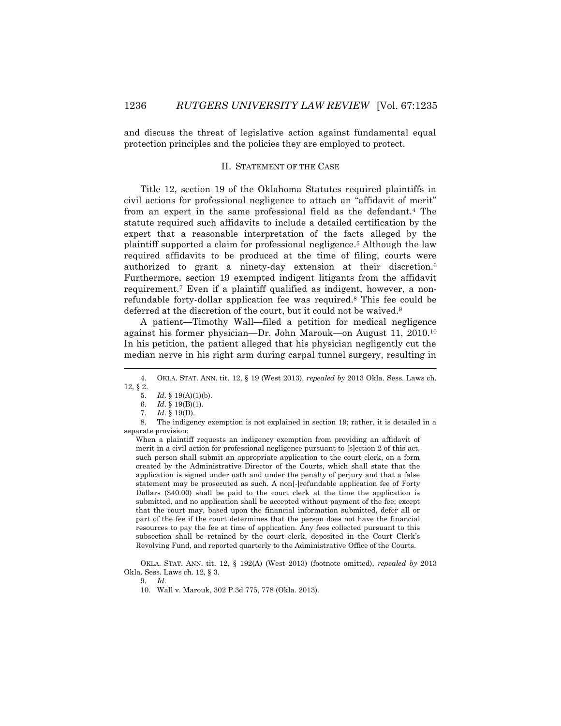and discuss the threat of legislative action against fundamental equal protection principles and the policies they are employed to protect.

#### II. STATEMENT OF THE CASE

Title 12, section 19 of the Oklahoma Statutes required plaintiffs in civil actions for professional negligence to attach an "affidavit of merit" from an expert in the same professional field as the defendant.<sup>4</sup> The statute required such affidavits to include a detailed certification by the expert that a reasonable interpretation of the facts alleged by the plaintiff supported a claim for professional negligence. <sup>5</sup> Although the law required affidavits to be produced at the time of filing, courts were authorized to grant a ninety-day extension at their discretion. 6 Furthermore, section 19 exempted indigent litigants from the affidavit requirement. <sup>7</sup> Even if a plaintiff qualified as indigent, however, a nonrefundable forty-dollar application fee was required. <sup>8</sup> This fee could be deferred at the discretion of the court, but it could not be waived.<sup>9</sup>

A patient—Timothy Wall—filed a petition for medical negligence against his former physician—Dr. John Marouk—on August 11, 2010.<sup>10</sup> In his petition, the patient alleged that his physician negligently cut the median nerve in his right arm during carpal tunnel surgery, resulting in

 $\overline{a}$ 

When a plaintiff requests an indigency exemption from providing an affidavit of merit in a civil action for professional negligence pursuant to [s]ection 2 of this act, such person shall submit an appropriate application to the court clerk, on a form created by the Administrative Director of the Courts, which shall state that the application is signed under oath and under the penalty of perjury and that a false statement may be prosecuted as such. A non[-]refundable application fee of Forty Dollars (\$40.00) shall be paid to the court clerk at the time the application is submitted, and no application shall be accepted without payment of the fee; except that the court may, based upon the financial information submitted, defer all or part of the fee if the court determines that the person does not have the financial resources to pay the fee at time of application. Any fees collected pursuant to this subsection shall be retained by the court clerk, deposited in the Court Clerk's Revolving Fund, and reported quarterly to the Administrative Office of the Courts.

OKLA. STAT. ANN. tit. 12, § 192(A) (West 2013) (footnote omitted), *repealed by* 2013 Okla. Sess. Laws ch. 12, § 3.

<sup>4.</sup> OKLA. STAT. ANN. tit. 12, § 19 (West 2013), *repealed by* 2013 Okla. Sess. Laws ch. 12, § 2.

<sup>5.</sup> *Id.* § 19(A)(1)(b).

<sup>6.</sup> *Id.* § 19(B)(1).

<sup>7.</sup> *Id.* § 19(D).

<sup>8.</sup> The indigency exemption is not explained in section 19; rather, it is detailed in a separate provision:

<sup>9.</sup> *Id.*

<sup>10.</sup> Wall v. Marouk, 302 P.3d 775, 778 (Okla. 2013).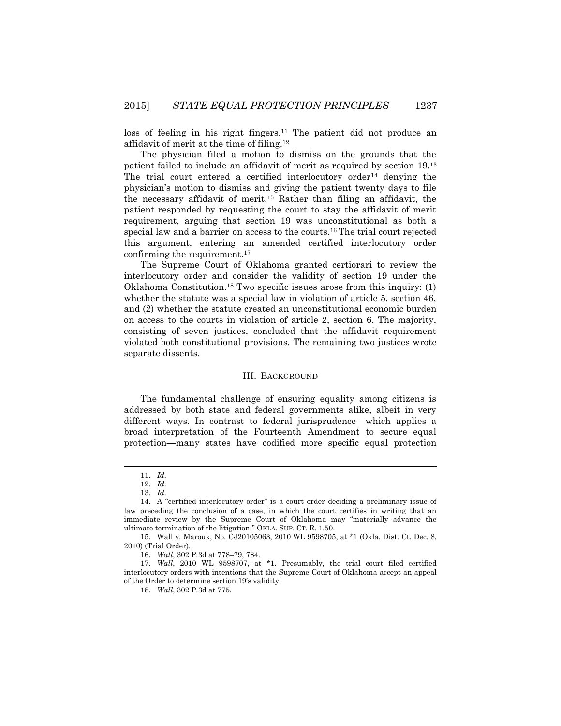loss of feeling in his right fingers.<sup>11</sup> The patient did not produce an affidavit of merit at the time of filing. 12

The physician filed a motion to dismiss on the grounds that the patient failed to include an affidavit of merit as required by section 19.<sup>13</sup> The trial court entered a certified interlocutory order<sup>14</sup> denying the physician's motion to dismiss and giving the patient twenty days to file the necessary affidavit of merit.<sup>15</sup> Rather than filing an affidavit, the patient responded by requesting the court to stay the affidavit of merit requirement, arguing that section 19 was unconstitutional as both a special law and a barrier on access to the courts.<sup>16</sup> The trial court rejected this argument, entering an amended certified interlocutory order confirming the requirement. 17

The Supreme Court of Oklahoma granted certiorari to review the interlocutory order and consider the validity of section 19 under the Oklahoma Constitution.<sup>18</sup> Two specific issues arose from this inquiry: (1) whether the statute was a special law in violation of article 5, section 46, and (2) whether the statute created an unconstitutional economic burden on access to the courts in violation of article 2, section 6. The majority, consisting of seven justices, concluded that the affidavit requirement violated both constitutional provisions. The remaining two justices wrote separate dissents.

#### III. BACKGROUND

The fundamental challenge of ensuring equality among citizens is addressed by both state and federal governments alike, albeit in very different ways. In contrast to federal jurisprudence—which applies a broad interpretation of the Fourteenth Amendment to secure equal protection—many states have codified more specific equal protection

 $\overline{a}$ 

<sup>11.</sup> *Id.*

<sup>12.</sup> *Id.*

<sup>13.</sup> *Id.*

<sup>14.</sup> A "certified interlocutory order" is a court order deciding a preliminary issue of law preceding the conclusion of a case, in which the court certifies in writing that an immediate review by the Supreme Court of Oklahoma may "materially advance the ultimate termination of the litigation." OKLA. SUP. CT. R. 1.50.

<sup>15.</sup> Wall v. Marouk, No. CJ20105063, 2010 WL 9598705, at \*1 (Okla. Dist. Ct. Dec. 8, 2010) (Trial Order).

<sup>16.</sup> *Wall*, 302 P.3d at 778–79, 784.

<sup>17.</sup> *Wall*, 2010 WL 9598707, at \*1. Presumably, the trial court filed certified interlocutory orders with intentions that the Supreme Court of Oklahoma accept an appeal of the Order to determine section 19's validity.

<sup>18.</sup> *Wall*, 302 P.3d at 775.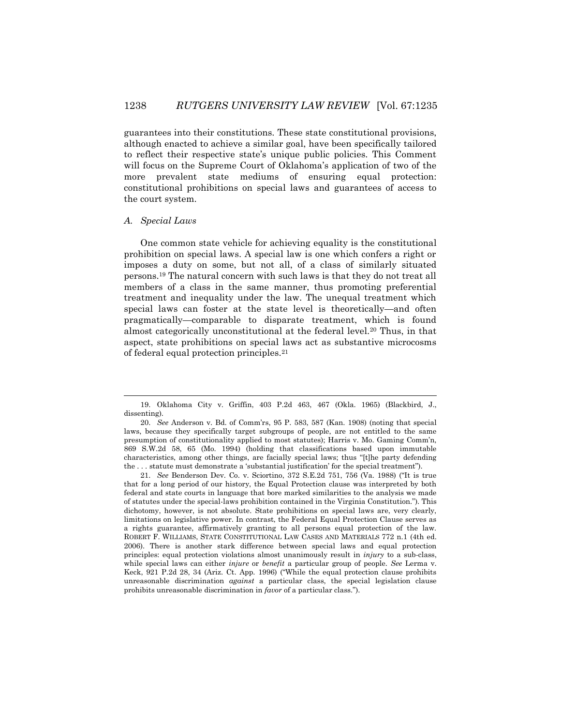guarantees into their constitutions. These state constitutional provisions, although enacted to achieve a similar goal, have been specifically tailored to reflect their respective state's unique public policies. This Comment will focus on the Supreme Court of Oklahoma's application of two of the more prevalent state mediums of ensuring equal protection: constitutional prohibitions on special laws and guarantees of access to the court system.

#### *A. Special Laws*

 $\overline{a}$ 

One common state vehicle for achieving equality is the constitutional prohibition on special laws. A special law is one which confers a right or imposes a duty on some, but not all, of a class of similarly situated persons.<sup>19</sup> The natural concern with such laws is that they do not treat all members of a class in the same manner, thus promoting preferential treatment and inequality under the law. The unequal treatment which special laws can foster at the state level is theoretically—and often pragmatically—comparable to disparate treatment, which is found almost categorically unconstitutional at the federal level.<sup>20</sup> Thus, in that aspect, state prohibitions on special laws act as substantive microcosms of federal equal protection principles.<sup>21</sup>

<sup>19.</sup> Oklahoma City v. Griffin, 403 P.2d 463, 467 (Okla. 1965) (Blackbird, J., dissenting).

<sup>20.</sup> *See* Anderson v. Bd. of Comm'rs, 95 P. 583, 587 (Kan. 1908) (noting that special laws, because they specifically target subgroups of people, are not entitled to the same presumption of constitutionality applied to most statutes); Harris v. Mo. Gaming Comm'n, 869 S.W.2d 58, 65 (Mo. 1994) (holding that classifications based upon immutable characteristics, among other things, are facially special laws; thus "[t]he party defending the . . . statute must demonstrate a 'substantial justification' for the special treatment").

<sup>21.</sup> *See* Benderson Dev. Co. v. Sciortino, 372 S.E.2d 751, 756 (Va. 1988) ("It is true that for a long period of our history, the Equal Protection clause was interpreted by both federal and state courts in language that bore marked similarities to the analysis we made of statutes under the special-laws prohibition contained in the Virginia Constitution."). This dichotomy, however, is not absolute. State prohibitions on special laws are, very clearly, limitations on legislative power. In contrast, the Federal Equal Protection Clause serves as a rights guarantee, affirmatively granting to all persons equal protection of the law. ROBERT F. WILLIAMS, STATE CONSTITUTIONAL LAW CASES AND MATERIALS 772 n.1 (4th ed. 2006). There is another stark difference between special laws and equal protection principles: equal protection violations almost unanimously result in *injury* to a sub-class, while special laws can either *injure* or *benefit* a particular group of people. *See* Lerma v. Keck, 921 P.2d 28, 34 (Ariz. Ct. App. 1996) ("While the equal protection clause prohibits unreasonable discrimination *against* a particular class, the special legislation clause prohibits unreasonable discrimination in *favor* of a particular class.").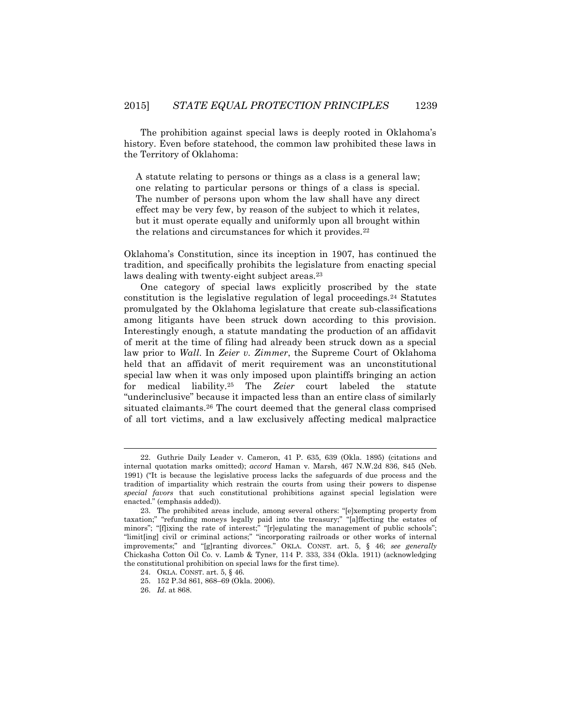The prohibition against special laws is deeply rooted in Oklahoma's history. Even before statehood, the common law prohibited these laws in the Territory of Oklahoma:

A statute relating to persons or things as a class is a general law; one relating to particular persons or things of a class is special. The number of persons upon whom the law shall have any direct effect may be very few, by reason of the subject to which it relates, but it must operate equally and uniformly upon all brought within the relations and circumstances for which it provides.<sup>22</sup>

Oklahoma's Constitution, since its inception in 1907, has continued the tradition, and specifically prohibits the legislature from enacting special laws dealing with twenty-eight subject areas.<sup>23</sup>

One category of special laws explicitly proscribed by the state constitution is the legislative regulation of legal proceedings.<sup>24</sup> Statutes promulgated by the Oklahoma legislature that create sub-classifications among litigants have been struck down according to this provision. Interestingly enough, a statute mandating the production of an affidavit of merit at the time of filing had already been struck down as a special law prior to *Wall*. In *Zeier v. Zimmer*, the Supreme Court of Oklahoma held that an affidavit of merit requirement was an unconstitutional special law when it was only imposed upon plaintiffs bringing an action for medical liability.<sup>25</sup> The *Zeier* court labeled the statute "underinclusive" because it impacted less than an entire class of similarly situated claimants.<sup>26</sup> The court deemed that the general class comprised of all tort victims, and a law exclusively affecting medical malpractice

<sup>22.</sup> Guthrie Daily Leader v. Cameron, 41 P. 635, 639 (Okla. 1895) (citations and internal quotation marks omitted); *accord* Haman v. Marsh, 467 N.W.2d 836, 845 (Neb. 1991) ("It is because the legislative process lacks the safeguards of due process and the tradition of impartiality which restrain the courts from using their powers to dispense *special favors* that such constitutional prohibitions against special legislation were enacted." (emphasis added)).

<sup>23.</sup> The prohibited areas include, among several others: "[e]xempting property from taxation;" "refunding moneys legally paid into the treasury;" "[a]ffecting the estates of minors"; "[f]ixing the rate of interest;" "[r]egulating the management of public schools"; "limit[ing] civil or criminal actions;" "incorporating railroads or other works of internal improvements;" and "[g]ranting divorces." OKLA. CONST. art. 5, § 46; *see generally* Chickasha Cotton Oil Co. v. Lamb & Tyner, 114 P. 333, 334 (Okla. 1911) (acknowledging the constitutional prohibition on special laws for the first time).

<sup>24.</sup> OKLA. CONST. art. 5, § 46.

<sup>25.</sup> 152 P.3d 861, 868–69 (Okla. 2006).

<sup>26.</sup> *Id.* at 868.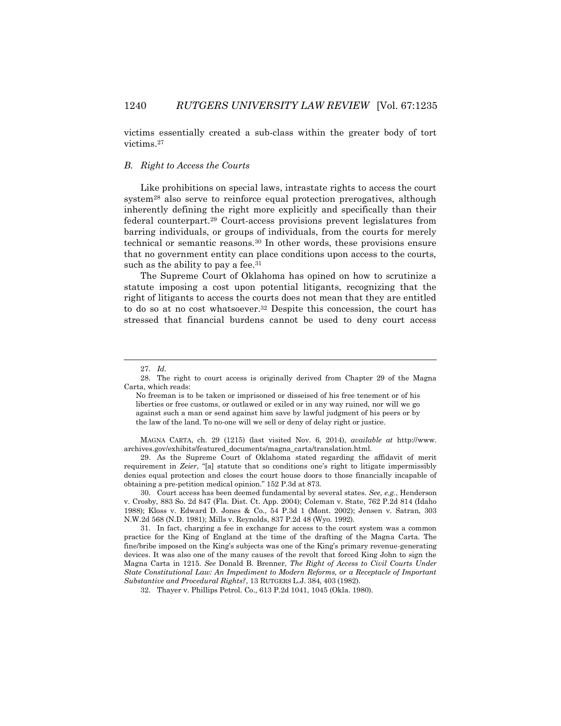victims essentially created a sub-class within the greater body of tort victims.<sup>27</sup>

# *B. Right to Access the Courts*

Like prohibitions on special laws, intrastate rights to access the court system<sup>28</sup> also serve to reinforce equal protection prerogatives, although inherently defining the right more explicitly and specifically than their federal counterpart.<sup>29</sup> Court-access provisions prevent legislatures from barring individuals, or groups of individuals, from the courts for merely technical or semantic reasons.<sup>30</sup> In other words, these provisions ensure that no government entity can place conditions upon access to the courts, such as the ability to pay a fee.<sup>31</sup>

The Supreme Court of Oklahoma has opined on how to scrutinize a statute imposing a cost upon potential litigants, recognizing that the right of litigants to access the courts does not mean that they are entitled to do so at no cost whatsoever. <sup>32</sup> Despite this concession, the court has stressed that financial burdens cannot be used to deny court access

 $\overline{\phantom{a}}$ 

MAGNA CARTA, ch. 29 (1215) (last visited Nov. 6, 2014), *available at* http://www. archives.gov/exhibits/featured\_documents/magna\_carta/translation.html.

29. As the Supreme Court of Oklahoma stated regarding the affidavit of merit requirement in *Zeier*, "[a] statute that so conditions one's right to litigate impermissibly denies equal protection and closes the court house doors to those financially incapable of obtaining a pre-petition medical opinion." 152 P.3d at 873.

30. Court access has been deemed fundamental by several states. *See, e.g.*, Henderson v. Crosby, 883 So. 2d 847 (Fla. Dist. Ct. App. 2004); Coleman v. State, 762 P.2d 814 (Idaho 1988); Kloss v. Edward D. Jones & Co., 54 P.3d 1 (Mont. 2002); Jensen v. Satran, 303 N.W.2d 568 (N.D. 1981); Mills v. Reynolds, 837 P.2d 48 (Wyo. 1992).

31. In fact, charging a fee in exchange for access to the court system was a common practice for the King of England at the time of the drafting of the Magna Carta. The fine/bribe imposed on the King's subjects was one of the King's primary revenue-generating devices. It was also one of the many causes of the revolt that forced King John to sign the Magna Carta in 1215. *See* Donald B. Brenner, *The Right of Access to Civil Courts Under State Constitutional Law: An Impediment to Modern Reforms, or a Receptacle of Important Substantive and Procedural Rights?*, 13 RUTGERS L.J. 384, 403 (1982).

32. Thayer v. Phillips Petrol. Co.*,* 613 P.2d 1041, 1045 (Okla. 1980).

<sup>27.</sup> *Id.*

<sup>28.</sup> The right to court access is originally derived from Chapter 29 of the Magna Carta, which reads:

No freeman is to be taken or imprisoned or disseised of his free tenement or of his liberties or free customs, or outlawed or exiled or in any way ruined, nor will we go against such a man or send against him save by lawful judgment of his peers or by the law of the land. To no-one will we sell or deny of delay right or justice.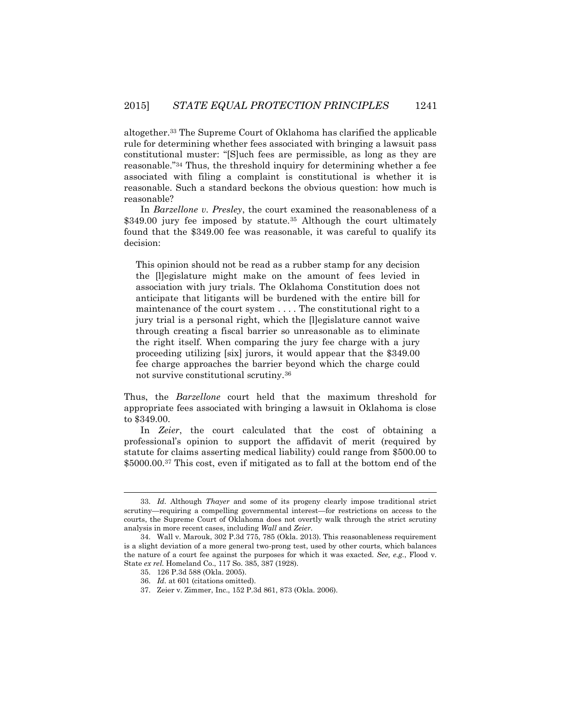altogether.<sup>33</sup> The Supreme Court of Oklahoma has clarified the applicable rule for determining whether fees associated with bringing a lawsuit pass constitutional muster: "[S]uch fees are permissible, as long as they are reasonable."<sup>34</sup> Thus, the threshold inquiry for determining whether a fee associated with filing a complaint is constitutional is whether it is reasonable. Such a standard beckons the obvious question: how much is reasonable?

In *Barzellone v. Presley*, the court examined the reasonableness of a \$349.00 jury fee imposed by statute.<sup>35</sup> Although the court ultimately found that the \$349.00 fee was reasonable, it was careful to qualify its decision:

This opinion should not be read as a rubber stamp for any decision the [l]egislature might make on the amount of fees levied in association with jury trials. The Oklahoma Constitution does not anticipate that litigants will be burdened with the entire bill for maintenance of the court system . . . . The constitutional right to a jury trial is a personal right, which the [l]egislature cannot waive through creating a fiscal barrier so unreasonable as to eliminate the right itself. When comparing the jury fee charge with a jury proceeding utilizing [six] jurors, it would appear that the \$349.00 fee charge approaches the barrier beyond which the charge could not survive constitutional scrutiny.<sup>36</sup>

Thus, the *Barzellone* court held that the maximum threshold for appropriate fees associated with bringing a lawsuit in Oklahoma is close to \$349.00.

In *Zeier*, the court calculated that the cost of obtaining a professional's opinion to support the affidavit of merit (required by statute for claims asserting medical liability) could range from \$500.00 to \$5000.00.<sup>37</sup> This cost, even if mitigated as to fall at the bottom end of the

<sup>33.</sup> *Id.* Although *Thayer* and some of its progeny clearly impose traditional strict scrutiny—requiring a compelling governmental interest—for restrictions on access to the courts, the Supreme Court of Oklahoma does not overtly walk through the strict scrutiny analysis in more recent cases, including *Wall* and *Zeier*.

<sup>34.</sup> Wall v. Marouk, 302 P.3d 775, 785 (Okla. 2013). This reasonableness requirement is a slight deviation of a more general two-prong test, used by other courts, which balances the nature of a court fee against the purposes for which it was exacted. *See, e.g.*, Flood v. State *ex rel.* Homeland Co., 117 So. 385, 387 (1928).

<sup>35.</sup> 126 P.3d 588 (Okla. 2005).

<sup>36.</sup> *Id.* at 601 (citations omitted).

<sup>37.</sup> Zeier v. Zimmer, Inc., 152 P.3d 861, 873 (Okla. 2006).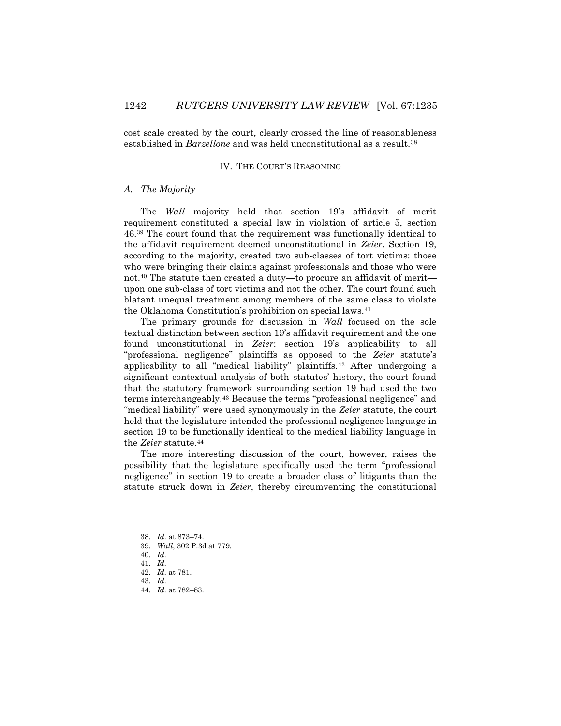cost scale created by the court, clearly crossed the line of reasonableness established in *Barzellone* and was held unconstitutional as a result.<sup>38</sup>

#### IV. THE COURT'S REASONING

## *A. The Majority*

The *Wall* majority held that section 19's affidavit of merit requirement constituted a special law in violation of article 5, section 46.<sup>39</sup> The court found that the requirement was functionally identical to the affidavit requirement deemed unconstitutional in *Zeier*. Section 19, according to the majority, created two sub-classes of tort victims: those who were bringing their claims against professionals and those who were not.<sup>40</sup> The statute then created a duty—to procure an affidavit of merit upon one sub-class of tort victims and not the other. The court found such blatant unequal treatment among members of the same class to violate the Oklahoma Constitution's prohibition on special laws.<sup>41</sup>

The primary grounds for discussion in *Wall* focused on the sole textual distinction between section 19's affidavit requirement and the one found unconstitutional in *Zeier*: section 19's applicability to all "professional negligence" plaintiffs as opposed to the *Zeier* statute's applicability to all "medical liability" plaintiffs.<sup>42</sup> After undergoing a significant contextual analysis of both statutes' history, the court found that the statutory framework surrounding section 19 had used the two terms interchangeably.<sup>43</sup> Because the terms "professional negligence" and "medical liability" were used synonymously in the *Zeier* statute, the court held that the legislature intended the professional negligence language in section 19 to be functionally identical to the medical liability language in the *Zeier* statute.<sup>44</sup>

The more interesting discussion of the court, however, raises the possibility that the legislature specifically used the term "professional negligence" in section 19 to create a broader class of litigants than the statute struck down in *Zeier*, thereby circumventing the constitutional

l

<sup>38.</sup> *Id.* at 873–74.

<sup>39.</sup> *Wall*, 302 P.3d at 779.

<sup>40.</sup> *Id.*

<sup>41.</sup> *Id.*

<sup>42.</sup> *Id.* at 781.

<sup>43.</sup> *Id.*

<sup>44.</sup> *Id.* at 782–83.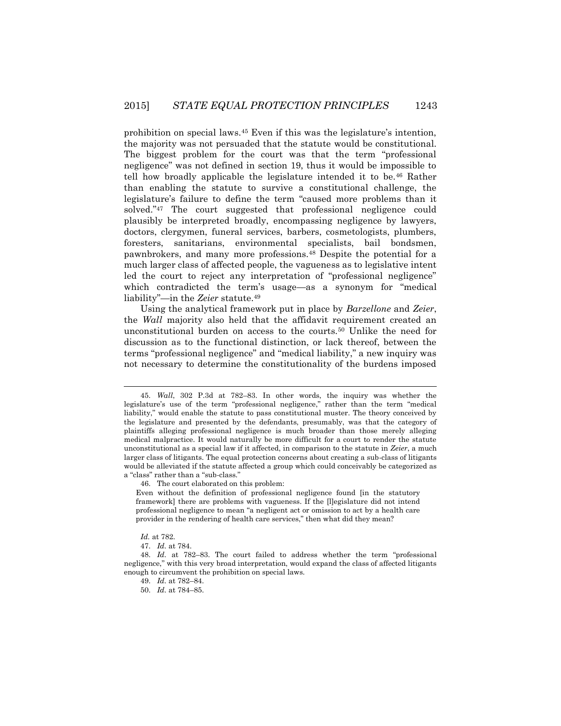prohibition on special laws.<sup>45</sup> Even if this was the legislature's intention, the majority was not persuaded that the statute would be constitutional. The biggest problem for the court was that the term "professional negligence" was not defined in section 19, thus it would be impossible to tell how broadly applicable the legislature intended it to be.<sup>46</sup> Rather than enabling the statute to survive a constitutional challenge, the legislature's failure to define the term "caused more problems than it solved."<sup>47</sup> The court suggested that professional negligence could plausibly be interpreted broadly, encompassing negligence by lawyers, doctors, clergymen, funeral services, barbers, cosmetologists, plumbers, foresters, sanitarians, environmental specialists, bail bondsmen, pawnbrokers, and many more professions.<sup>48</sup> Despite the potential for a much larger class of affected people, the vagueness as to legislative intent led the court to reject any interpretation of "professional negligence" which contradicted the term's usage—as a synonym for "medical liability"—in the *Zeier* statute.<sup>49</sup>

Using the analytical framework put in place by *Barzellone* and *Zeier*, the *Wall* majority also held that the affidavit requirement created an unconstitutional burden on access to the courts.<sup>50</sup> Unlike the need for discussion as to the functional distinction, or lack thereof, between the terms "professional negligence" and "medical liability," a new inquiry was not necessary to determine the constitutionality of the burdens imposed

Even without the definition of professional negligence found [in the statutory framework] there are problems with vagueness. If the [l]egislature did not intend professional negligence to mean "a negligent act or omission to act by a health care provider in the rendering of health care services," then what did they mean?

*Id.* at 782.

<sup>45.</sup> *Wall*, 302 P.3d at 782–83. In other words, the inquiry was whether the legislature's use of the term "professional negligence," rather than the term "medical liability," would enable the statute to pass constitutional muster. The theory conceived by the legislature and presented by the defendants, presumably, was that the category of plaintiffs alleging professional negligence is much broader than those merely alleging medical malpractice. It would naturally be more difficult for a court to render the statute unconstitutional as a special law if it affected, in comparison to the statute in *Zeier*, a much larger class of litigants. The equal protection concerns about creating a sub-class of litigants would be alleviated if the statute affected a group which could conceivably be categorized as a "class" rather than a "sub-class."

<sup>46.</sup> The court elaborated on this problem:

<sup>47.</sup> *Id.* at 784.

<sup>48.</sup> *Id.* at 782–83. The court failed to address whether the term "professional negligence," with this very broad interpretation, would expand the class of affected litigants enough to circumvent the prohibition on special laws.

<sup>49.</sup> *Id.* at 782–84.

<sup>50.</sup> *Id.* at 784–85.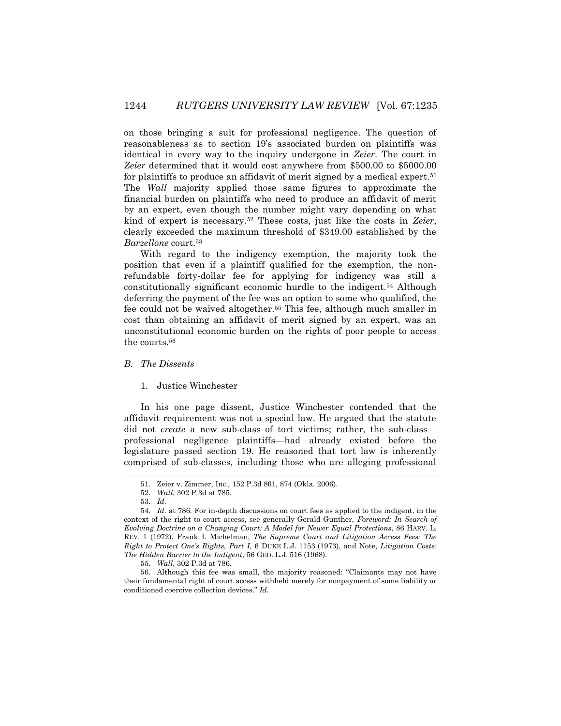on those bringing a suit for professional negligence. The question of reasonableness as to section 19's associated burden on plaintiffs was identical in every way to the inquiry undergone in *Zeier*. The court in *Zeier* determined that it would cost anywhere from \$500.00 to \$5000.00 for plaintiffs to produce an affidavit of merit signed by a medical expert.<sup>51</sup> The *Wall* majority applied those same figures to approximate the financial burden on plaintiffs who need to produce an affidavit of merit by an expert, even though the number might vary depending on what kind of expert is necessary.<sup>52</sup> These costs, just like the costs in *Zeier*, clearly exceeded the maximum threshold of \$349.00 established by the *Barzellone* court.<sup>53</sup>

With regard to the indigency exemption, the majority took the position that even if a plaintiff qualified for the exemption, the nonrefundable forty-dollar fee for applying for indigency was still a constitutionally significant economic hurdle to the indigent.<sup>54</sup> Although deferring the payment of the fee was an option to some who qualified, the fee could not be waived altogether.<sup>55</sup> This fee, although much smaller in cost than obtaining an affidavit of merit signed by an expert, was an unconstitutional economic burden on the rights of poor people to access the courts.<sup>56</sup>

# *B. The Dissents*

#### 1. Justice Winchester

In his one page dissent, Justice Winchester contended that the affidavit requirement was not a special law. He argued that the statute did not *create* a new sub-class of tort victims; rather, the sub-class professional negligence plaintiffs—had already existed before the legislature passed section 19. He reasoned that tort law is inherently comprised of sub-classes, including those who are alleging professional

l

56. Although this fee was small, the majority reasoned: "Claimants may not have their fundamental right of court access withheld merely for nonpayment of some liability or conditioned coercive collection devices." *Id.*

<sup>51.</sup> Zeier v. Zimmer, Inc., 152 P.3d 861, 874 (Okla. 2006).

<sup>52.</sup> *Wall*, 302 P.3d at 785.

<sup>53.</sup> *Id.*

<sup>54.</sup> *Id.* at 786. For in-depth discussions on court fees as applied to the indigent, in the context of the right to court access, see generally Gerald Gunther, *Foreword: In Search of Evolving Doctrine on a Changing Court: A Model for Newer Equal Protections*, 86 HARV. L. REV. 1 (1972), Frank I. Michelman, *The Supreme Court and Litigation Access Fees: The Right to Protect One's Rights, Part I*, 6 DUKE L.J. 1153 (1973), and Note, *Litigation Costs: The Hidden Barrier to the Indigent*, 56 GEO. L.J. 516 (1968).

<sup>55.</sup> *Wall*, 302 P.3d at 786.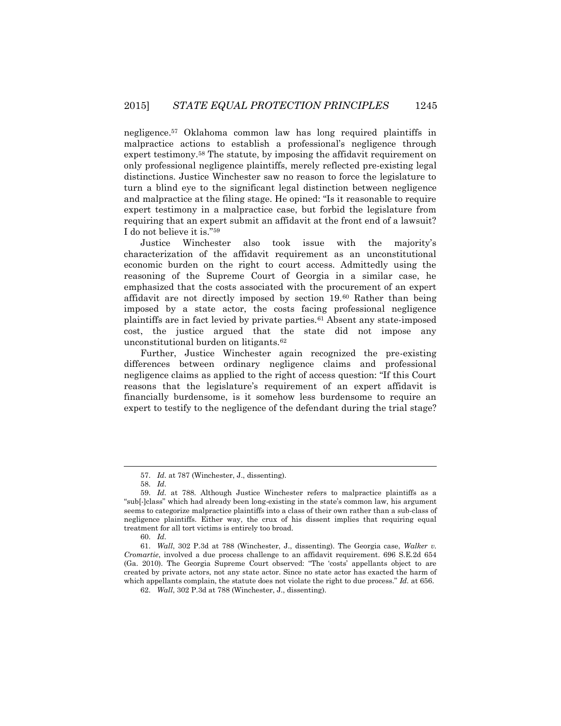negligence.<sup>57</sup> Oklahoma common law has long required plaintiffs in malpractice actions to establish a professional's negligence through expert testimony.<sup>58</sup> The statute, by imposing the affidavit requirement on only professional negligence plaintiffs, merely reflected pre-existing legal distinctions. Justice Winchester saw no reason to force the legislature to turn a blind eye to the significant legal distinction between negligence and malpractice at the filing stage. He opined: "Is it reasonable to require expert testimony in a malpractice case, but forbid the legislature from requiring that an expert submit an affidavit at the front end of a lawsuit? I do not believe it is."<sup>59</sup>

Justice Winchester also took issue with the majority's characterization of the affidavit requirement as an unconstitutional economic burden on the right to court access. Admittedly using the reasoning of the Supreme Court of Georgia in a similar case, he emphasized that the costs associated with the procurement of an expert affidavit are not directly imposed by section 19.<sup>60</sup> Rather than being imposed by a state actor, the costs facing professional negligence plaintiffs are in fact levied by private parties.<sup>61</sup> Absent any state-imposed cost, the justice argued that the state did not impose any unconstitutional burden on litigants.<sup>62</sup>

Further, Justice Winchester again recognized the pre-existing differences between ordinary negligence claims and professional negligence claims as applied to the right of access question: "If this Court reasons that the legislature's requirement of an expert affidavit is financially burdensome, is it somehow less burdensome to require an expert to testify to the negligence of the defendant during the trial stage?

<sup>57.</sup> *Id.* at 787 (Winchester, J., dissenting).

<sup>58.</sup> *Id.*

<sup>59.</sup> *Id.* at 788. Although Justice Winchester refers to malpractice plaintiffs as a "sub[-]class" which had already been long-existing in the state's common law, his argument seems to categorize malpractice plaintiffs into a class of their own rather than a sub-class of negligence plaintiffs. Either way, the crux of his dissent implies that requiring equal treatment for all tort victims is entirely too broad.

<sup>60.</sup> *Id.*

<sup>61.</sup> *Wall*, 302 P.3d at 788 (Winchester, J., dissenting). The Georgia case, *Walker v. Cromartie*, involved a due process challenge to an affidavit requirement. 696 S.E.2d 654 (Ga. 2010). The Georgia Supreme Court observed: "The 'costs' appellants object to are created by private actors, not any state actor. Since no state actor has exacted the harm of which appellants complain, the statute does not violate the right to due process." *Id.* at 656.

<sup>62.</sup> *Wall*, 302 P.3d at 788 (Winchester, J., dissenting)*.*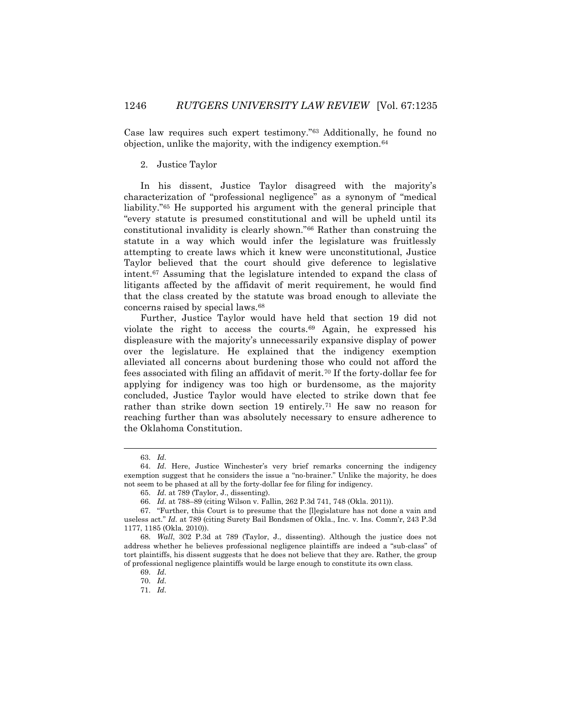Case law requires such expert testimony."<sup>63</sup> Additionally, he found no objection, unlike the majority, with the indigency exemption.<sup>64</sup>

#### 2. Justice Taylor

In his dissent, Justice Taylor disagreed with the majority's characterization of "professional negligence" as a synonym of "medical liability."<sup>65</sup> He supported his argument with the general principle that "every statute is presumed constitutional and will be upheld until its constitutional invalidity is clearly shown."<sup>66</sup> Rather than construing the statute in a way which would infer the legislature was fruitlessly attempting to create laws which it knew were unconstitutional, Justice Taylor believed that the court should give deference to legislative intent.<sup>67</sup> Assuming that the legislature intended to expand the class of litigants affected by the affidavit of merit requirement, he would find that the class created by the statute was broad enough to alleviate the concerns raised by special laws.<sup>68</sup>

Further, Justice Taylor would have held that section 19 did not violate the right to access the courts.<sup>69</sup> Again, he expressed his displeasure with the majority's unnecessarily expansive display of power over the legislature. He explained that the indigency exemption alleviated all concerns about burdening those who could not afford the fees associated with filing an affidavit of merit.<sup>70</sup> If the forty-dollar fee for applying for indigency was too high or burdensome, as the majority concluded, Justice Taylor would have elected to strike down that fee rather than strike down section 19 entirely.<sup>71</sup> He saw no reason for reaching further than was absolutely necessary to ensure adherence to the Oklahoma Constitution.

 $\overline{\phantom{a}}$ 

71. *Id.*

<sup>63.</sup> *Id.*

<sup>64.</sup> *Id.* Here, Justice Winchester's very brief remarks concerning the indigency exemption suggest that he considers the issue a "no-brainer." Unlike the majority, he does not seem to be phased at all by the forty-dollar fee for filing for indigency.

<sup>65.</sup> *Id.* at 789 (Taylor, J., dissenting).

<sup>66.</sup> *Id.* at 788–89 (citing Wilson v. Fallin, 262 P.3d 741, 748 (Okla. 2011)).

<sup>67.</sup> "Further, this Court is to presume that the [l]egislature has not done a vain and useless act." *Id.* at 789 (citing Surety Bail Bondsmen of Okla., Inc. v. Ins. Comm'r, 243 P.3d 1177, 1185 (Okla. 2010)).

<sup>68.</sup> *Wall*, 302 P.3d at 789 (Taylor, J., dissenting). Although the justice does not address whether he believes professional negligence plaintiffs are indeed a "sub-class" of tort plaintiffs, his dissent suggests that he does not believe that they are. Rather, the group of professional negligence plaintiffs would be large enough to constitute its own class.

<sup>69.</sup> *Id.*

<sup>70.</sup> *Id.*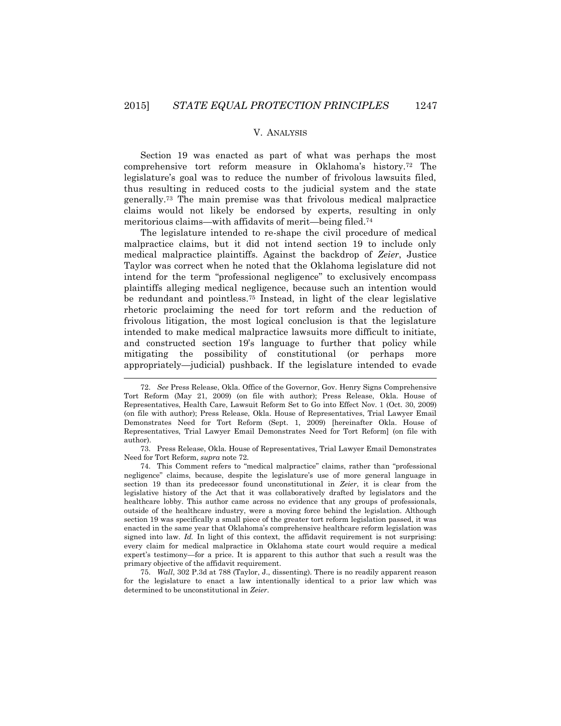### V. ANALYSIS

Section 19 was enacted as part of what was perhaps the most comprehensive tort reform measure in Oklahoma's history.<sup>72</sup> The legislature's goal was to reduce the number of frivolous lawsuits filed, thus resulting in reduced costs to the judicial system and the state generally.<sup>73</sup> The main premise was that frivolous medical malpractice claims would not likely be endorsed by experts, resulting in only meritorious claims—with affidavits of merit—being filed.<sup>74</sup>

The legislature intended to re-shape the civil procedure of medical malpractice claims, but it did not intend section 19 to include only medical malpractice plaintiffs. Against the backdrop of *Zeier*, Justice Taylor was correct when he noted that the Oklahoma legislature did not intend for the term "professional negligence" to exclusively encompass plaintiffs alleging medical negligence, because such an intention would be redundant and pointless.<sup>75</sup> Instead, in light of the clear legislative rhetoric proclaiming the need for tort reform and the reduction of frivolous litigation, the most logical conclusion is that the legislature intended to make medical malpractice lawsuits more difficult to initiate, and constructed section 19's language to further that policy while mitigating the possibility of constitutional (or perhaps more appropriately—judicial) pushback. If the legislature intended to evade

l

<sup>72.</sup> *See* Press Release, Okla. Office of the Governor, Gov. Henry Signs Comprehensive Tort Reform (May 21, 2009) (on file with author); Press Release, Okla. House of Representatives, Health Care, Lawsuit Reform Set to Go into Effect Nov. 1 (Oct. 30, 2009) (on file with author); Press Release, Okla. House of Representatives, Trial Lawyer Email Demonstrates Need for Tort Reform (Sept. 1, 2009) [hereinafter Okla. House of Representatives, Trial Lawyer Email Demonstrates Need for Tort Reform] (on file with author).

<sup>73.</sup> Press Release, Okla. House of Representatives, Trial Lawyer Email Demonstrates Need for Tort Reform, *supra* note 72.

<sup>74.</sup> This Comment refers to "medical malpractice" claims, rather than "professional negligence" claims, because, despite the legislature's use of more general language in section 19 than its predecessor found unconstitutional in *Zeier*, it is clear from the legislative history of the Act that it was collaboratively drafted by legislators and the healthcare lobby. This author came across no evidence that any groups of professionals, outside of the healthcare industry, were a moving force behind the legislation. Although section 19 was specifically a small piece of the greater tort reform legislation passed, it was enacted in the same year that Oklahoma's comprehensive healthcare reform legislation was signed into law. *Id.* In light of this context, the affidavit requirement is not surprising: every claim for medical malpractice in Oklahoma state court would require a medical expert's testimony—for a price. It is apparent to this author that such a result was the primary objective of the affidavit requirement.

<sup>75.</sup> *Wall*, 302 P.3d at 788 (Taylor, J., dissenting). There is no readily apparent reason for the legislature to enact a law intentionally identical to a prior law which was determined to be unconstitutional in *Zeier*.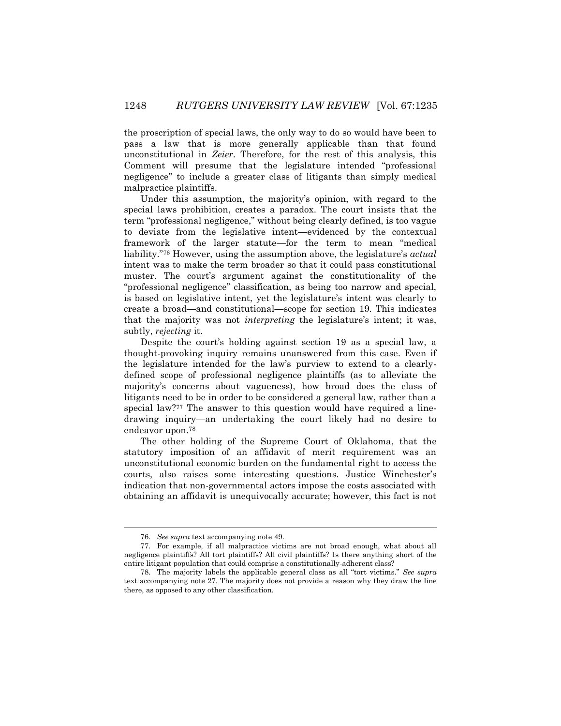the proscription of special laws, the only way to do so would have been to pass a law that is more generally applicable than that found unconstitutional in *Zeier*. Therefore, for the rest of this analysis, this Comment will presume that the legislature intended "professional negligence" to include a greater class of litigants than simply medical malpractice plaintiffs.

Under this assumption, the majority's opinion, with regard to the special laws prohibition, creates a paradox. The court insists that the term "professional negligence," without being clearly defined, is too vague to deviate from the legislative intent—evidenced by the contextual framework of the larger statute—for the term to mean "medical liability."<sup>76</sup> However, using the assumption above, the legislature's *actual* intent was to make the term broader so that it could pass constitutional muster. The court's argument against the constitutionality of the "professional negligence" classification, as being too narrow and special, is based on legislative intent, yet the legislature's intent was clearly to create a broad—and constitutional—scope for section 19. This indicates that the majority was not *interpreting* the legislature's intent; it was, subtly, *rejecting* it.

Despite the court's holding against section 19 as a special law, a thought-provoking inquiry remains unanswered from this case. Even if the legislature intended for the law's purview to extend to a clearlydefined scope of professional negligence plaintiffs (as to alleviate the majority's concerns about vagueness), how broad does the class of litigants need to be in order to be considered a general law, rather than a special law?<sup>77</sup> The answer to this question would have required a linedrawing inquiry—an undertaking the court likely had no desire to endeavor upon.<sup>78</sup>

The other holding of the Supreme Court of Oklahoma, that the statutory imposition of an affidavit of merit requirement was an unconstitutional economic burden on the fundamental right to access the courts, also raises some interesting questions. Justice Winchester's indication that non-governmental actors impose the costs associated with obtaining an affidavit is unequivocally accurate; however, this fact is not

l

<sup>76.</sup> *See supra* text accompanying note 49.

<sup>77.</sup> For example*,* if all malpractice victims are not broad enough, what about all negligence plaintiffs? All tort plaintiffs? All civil plaintiffs? Is there anything short of the entire litigant population that could comprise a constitutionally-adherent class?

<sup>78.</sup> The majority labels the applicable general class as all "tort victims." *See supra* text accompanying note 27. The majority does not provide a reason why they draw the line there, as opposed to any other classification.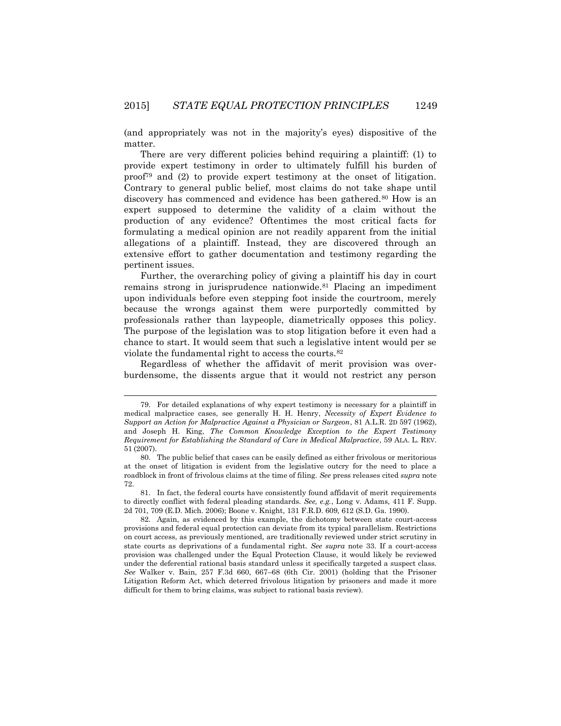(and appropriately was not in the majority's eyes) dispositive of the matter.

There are very different policies behind requiring a plaintiff: (1) to provide expert testimony in order to ultimately fulfill his burden of proof<sup>79</sup> and (2) to provide expert testimony at the onset of litigation. Contrary to general public belief, most claims do not take shape until discovery has commenced and evidence has been gathered.<sup>80</sup> How is an expert supposed to determine the validity of a claim without the production of any evidence? Oftentimes the most critical facts for formulating a medical opinion are not readily apparent from the initial allegations of a plaintiff. Instead, they are discovered through an extensive effort to gather documentation and testimony regarding the pertinent issues.

Further, the overarching policy of giving a plaintiff his day in court remains strong in jurisprudence nationwide.<sup>81</sup> Placing an impediment upon individuals before even stepping foot inside the courtroom, merely because the wrongs against them were purportedly committed by professionals rather than laypeople, diametrically opposes this policy. The purpose of the legislation was to stop litigation before it even had a chance to start. It would seem that such a legislative intent would per se violate the fundamental right to access the courts.<sup>82</sup>

Regardless of whether the affidavit of merit provision was overburdensome, the dissents argue that it would not restrict any person

<sup>79.</sup> For detailed explanations of why expert testimony is necessary for a plaintiff in medical malpractice cases, see generally H. H. Henry, *Necessity of Expert Evidence to Support an Action for Malpractice Against a Physician or Surgeon*, 81 A.L.R. 2D 597 (1962), and Joseph H. King, *The Common Knowledge Exception to the Expert Testimony Requirement for Establishing the Standard of Care in Medical Malpractice*, 59 ALA. L. REV. 51 (2007).

<sup>80.</sup> The public belief that cases can be easily defined as either frivolous or meritorious at the onset of litigation is evident from the legislative outcry for the need to place a roadblock in front of frivolous claims at the time of filing. *See* press releases cited *supra* note 72.

<sup>81.</sup> In fact, the federal courts have consistently found affidavit of merit requirements to directly conflict with federal pleading standards. *See, e.g.*, Long v. Adams, 411 F. Supp. 2d 701, 709 (E.D. Mich. 2006); Boone v. Knight, 131 F.R.D. 609, 612 (S.D. Ga. 1990).

<sup>82.</sup> Again, as evidenced by this example, the dichotomy between state court-access provisions and federal equal protection can deviate from its typical parallelism. Restrictions on court access, as previously mentioned, are traditionally reviewed under strict scrutiny in state courts as deprivations of a fundamental right. *See supra* note 33. If a court-access provision was challenged under the Equal Protection Clause, it would likely be reviewed under the deferential rational basis standard unless it specifically targeted a suspect class. *See* Walker v. Bain, 257 F.3d 660, 667–68 (6th Cir. 2001) (holding that the Prisoner Litigation Reform Act, which deterred frivolous litigation by prisoners and made it more difficult for them to bring claims, was subject to rational basis review).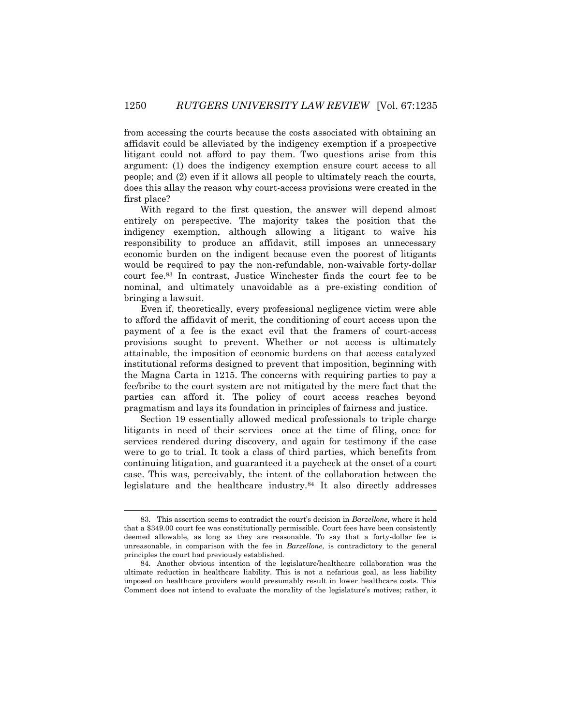from accessing the courts because the costs associated with obtaining an affidavit could be alleviated by the indigency exemption if a prospective litigant could not afford to pay them. Two questions arise from this argument: (1) does the indigency exemption ensure court access to all people; and (2) even if it allows all people to ultimately reach the courts, does this allay the reason why court-access provisions were created in the first place?

With regard to the first question, the answer will depend almost entirely on perspective. The majority takes the position that the indigency exemption, although allowing a litigant to waive his responsibility to produce an affidavit, still imposes an unnecessary economic burden on the indigent because even the poorest of litigants would be required to pay the non-refundable, non-waivable forty-dollar court fee.<sup>83</sup> In contrast, Justice Winchester finds the court fee to be nominal, and ultimately unavoidable as a pre-existing condition of bringing a lawsuit.

Even if, theoretically, every professional negligence victim were able to afford the affidavit of merit, the conditioning of court access upon the payment of a fee is the exact evil that the framers of court-access provisions sought to prevent. Whether or not access is ultimately attainable, the imposition of economic burdens on that access catalyzed institutional reforms designed to prevent that imposition, beginning with the Magna Carta in 1215. The concerns with requiring parties to pay a fee/bribe to the court system are not mitigated by the mere fact that the parties can afford it. The policy of court access reaches beyond pragmatism and lays its foundation in principles of fairness and justice.

Section 19 essentially allowed medical professionals to triple charge litigants in need of their services—once at the time of filing, once for services rendered during discovery, and again for testimony if the case were to go to trial. It took a class of third parties, which benefits from continuing litigation, and guaranteed it a paycheck at the onset of a court case. This was, perceivably, the intent of the collaboration between the legislature and the healthcare industry.<sup>84</sup> It also directly addresses

 $\overline{a}$ 

<sup>83.</sup> This assertion seems to contradict the court's decision in *Barzellone*, where it held that a \$349.00 court fee was constitutionally permissible. Court fees have been consistently deemed allowable, as long as they are reasonable. To say that a forty-dollar fee is unreasonable, in comparison with the fee in *Barzellone*, is contradictory to the general principles the court had previously established.

<sup>84.</sup> Another obvious intention of the legislature/healthcare collaboration was the ultimate reduction in healthcare liability. This is not a nefarious goal, as less liability imposed on healthcare providers would presumably result in lower healthcare costs. This Comment does not intend to evaluate the morality of the legislature's motives; rather, it